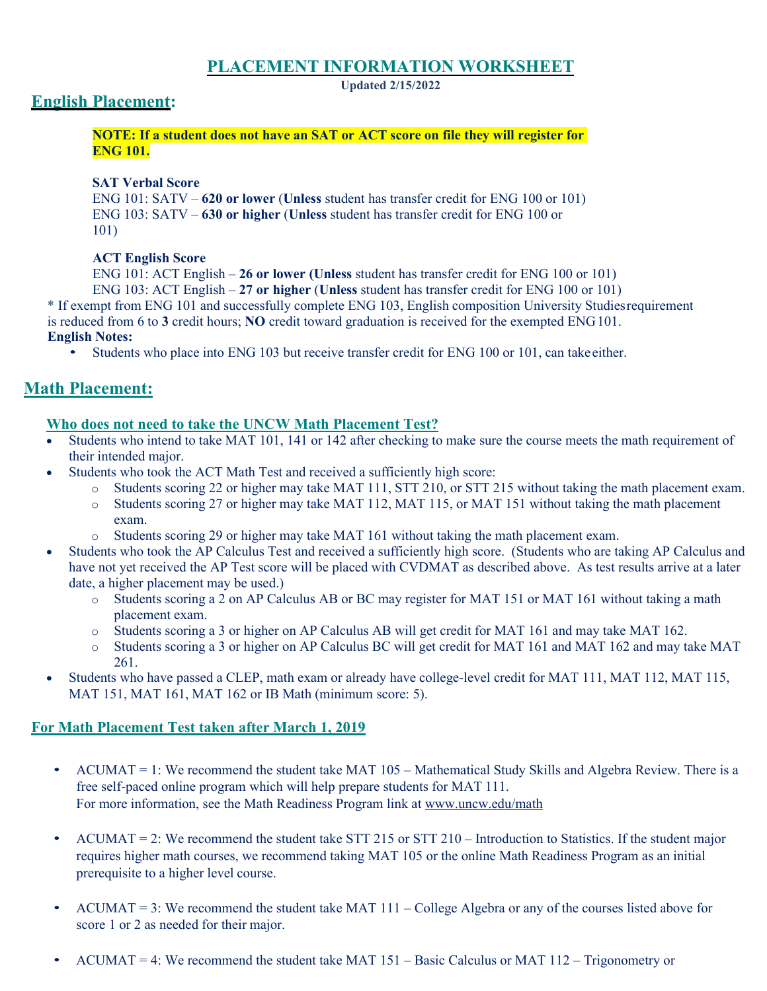# **PLACEMENT INFORMATION WORKSHEET**

**Updated 2/15/2022**

### **English Placement:**

**NOTE: If a student does not have an SAT or ACT score on file they will register for ENG 101.**

#### **SAT Verbal Score**

ENG 101: SATV – **620 or lower** (**Unless** student has transfer credit for ENG 100 or 101) ENG 103: SATV – **630 or higher** (**Unless** student has transfer credit for ENG 100 or 101)

#### **ACT English Score**

ENG 101: ACT English – **26 or lower (Unless** student has transfer credit for ENG 100 or 101)

ENG 103: ACT English – **27 or higher** (**Unless** student has transfer credit for ENG 100 or 101) \* If exempt from ENG 101 and successfully complete ENG 103, English composition University Studiesrequirement is reduced from 6 to **3** credit hours; **NO** credit toward graduation is received for the exempted ENG101. **English Notes:**

• Students who place into ENG 103 but receive transfer credit for ENG 100 or 101, can take either.

## **Math Placement:**

### **Who does not need to take the UNCW Math Placement Test?**

- Students who intend to take MAT 101, 141 or 142 after checking to make sure the course meets the math requirement of their intended major.
- Students who took the ACT Math Test and received a sufficiently high score:
	- o Students scoring 22 or higher may take MAT 111, STT 210, or STT 215 without taking the math placement exam.
	- o Students scoring 27 or higher may take MAT 112, MAT 115, or MAT 151 without taking the math placement exam.
	- o Students scoring 29 or higher may take MAT 161 without taking the math placement exam.
- Students who took the AP Calculus Test and received a sufficiently high score. (Students who are taking AP Calculus and have not yet received the AP Test score will be placed with CVDMAT as described above. As test results arrive at a later date, a higher placement may be used.)
	- o Students scoring a 2 on AP Calculus AB or BC may register for MAT 151 or MAT 161 without taking a math placement exam.
	- o Students scoring a 3 or higher on AP Calculus AB will get credit for MAT 161 and may take MAT 162.
	- o Students scoring a 3 or higher on AP Calculus BC will get credit for MAT 161 and MAT 162 and may take MAT 261.
- Students who have passed a CLEP, math exam or already have college-level credit for MAT 111, MAT 112, MAT 115, MAT 151, MAT 161, MAT 162 or IB Math (minimum score: 5).

### **For Math Placement Test taken after March 1, 2019**

- ACUMAT = 1: We recommend the student take MAT 105 Mathematical Study Skills and Algebra Review. There is a free self-paced online program which will help prepare students for MAT 111. For more information, see the Math Readiness Program link at [www.uncw.edu/math](http://www.uncw.edu/math)
- ACUMAT = 2: We recommend the student take STT 215 or STT 210 Introduction to Statistics. If the student major requires higher math courses, we recommend taking MAT 105 or the online Math Readiness Program as an initial prerequisite to a higher level course.
- ACUMAT = 3: We recommend the student take MAT 111 College Algebra or any of the courses listed above for score 1 or 2 as needed for their major.
- ACUMAT = 4: We recommend the student take MAT 151 Basic Calculus or MAT 112 Trigonometry or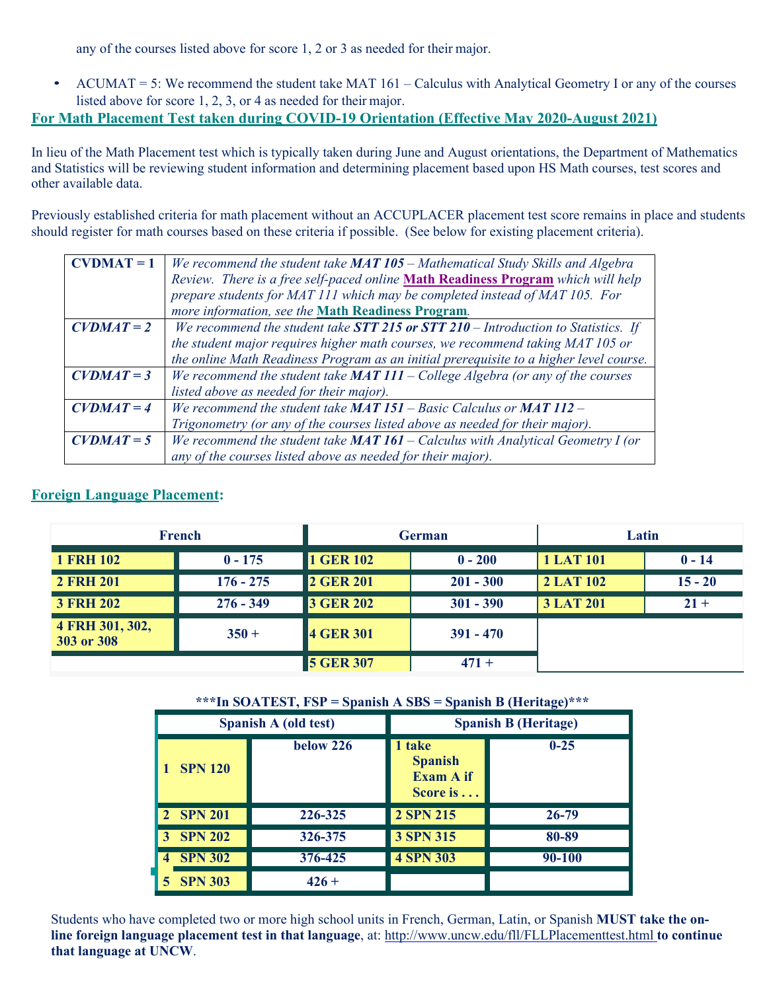any of the courses listed above for score 1, 2 or 3 as needed for their major.

• ACUMAT = 5: We recommend the student take MAT  $161 -$ Calculus with Analytical Geometry I or any of the courses listed above for score 1, 2, 3, or 4 as needed for their major.

### **For Math Placement Test taken during COVID-19 Orientation (Effective May 2020-August 2021)**

In lieu of the Math Placement test which is typically taken during June and August orientations, the Department of Mathematics and Statistics will be reviewing student information and determining placement based upon HS Math courses, test scores and other available data.

Previously established criteria for math placement without an ACCUPLACER placement test score remains in place and students should register for math courses based on these criteria if possible. (See below for existing placement criteria).

| $CVDMAT = 1$<br>We recommend the student take $MAT105 - Mathematical Study Skills and Algebra$  |  |  |  |  |
|-------------------------------------------------------------------------------------------------|--|--|--|--|
| Review. There is a free self-paced online Math Readiness Program which will help                |  |  |  |  |
| prepare students for MAT 111 which may be completed instead of MAT 105. For                     |  |  |  |  |
| more information, see the Math Readiness Program.                                               |  |  |  |  |
| We recommend the student take $STT$ 215 or $STT$ 210 – Introduction to Statistics. If           |  |  |  |  |
| the student major requires higher math courses, we recommend taking MAT 105 or                  |  |  |  |  |
| the online Math Readiness Program as an initial prerequisite to a higher level course.          |  |  |  |  |
| $CVDMAT = 3$<br>We recommend the student take $MATIII$ – College Algebra (or any of the courses |  |  |  |  |
| listed above as needed for their major).                                                        |  |  |  |  |
| We recommend the student take $MAT$ 151 – Basic Calculus or $MAT$ 112 –                         |  |  |  |  |
| Trigonometry (or any of the courses listed above as needed for their major).                    |  |  |  |  |
| We recommend the student take <b>MAT 161</b> – Calculus with Analytical Geometry I (or          |  |  |  |  |
| any of the courses listed above as needed for their major).                                     |  |  |  |  |
|                                                                                                 |  |  |  |  |

#### **Foreign Language Placement:**

| <b>French</b>                 |             | <b>German</b>    |             | Latin            |           |
|-------------------------------|-------------|------------------|-------------|------------------|-----------|
| <b>1 FRH 102</b>              | $0 - 175$   | <b>1 GER 102</b> | $0 - 200$   | <b>1 LAT 101</b> | $0 - 14$  |
| <b>2 FRH 201</b>              | $176 - 275$ | <b>2 GER 201</b> | $201 - 300$ | 2 LAT 102        | $15 - 20$ |
| 3 FRH 202                     | $276 - 349$ | <b>3 GER 202</b> | $301 - 390$ | <b>3 LAT 201</b> | $21 +$    |
| 4 FRH 301, 302,<br>303 or 308 | $350 +$     | <b>4 GER 301</b> | $391 - 470$ |                  |           |
|                               |             | <b>5 GER 307</b> | $471 +$     |                  |           |

#### **\*\*\*In SOATEST, FSP = Spanish A SBS = Spanish B (Heritage)\*\*\***

| Spanish A (old test) |                |           | <b>Spanish B (Heritage)</b>                                      |           |  |
|----------------------|----------------|-----------|------------------------------------------------------------------|-----------|--|
|                      | <b>SPN 120</b> | below 226 | 1 take<br><b>Spanish</b><br><b>Exam A if</b><br>Score is $\dots$ | $0 - 25$  |  |
|                      | <b>SPN 201</b> | 226-325   | <b>2 SPN 215</b>                                                 | $26 - 79$ |  |
| 3                    | <b>SPN 202</b> | 326-375   | 3 SPN 315                                                        | 80-89     |  |
| 4                    | <b>SPN 302</b> | 376-425   | <b>4 SPN 303</b>                                                 | 90-100    |  |
|                      | <b>SPN 303</b> | $426 +$   |                                                                  |           |  |

Students who have completed two or more high school units in French, German, Latin, or Spanish **MUST take the online foreign language placement test in that language**, at:<http://www.uncw.edu/fll/FLLPlacementtest.html>**to continue that language at UNCW**.